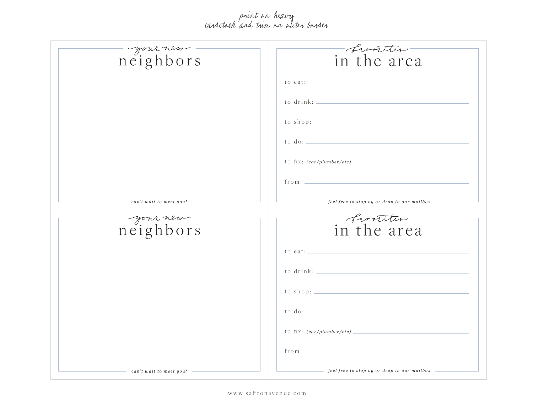## print on heavy cardstock and trim on outer border

| - your new -                                              | <i>- Canoriter</i> -                                                                            |
|-----------------------------------------------------------|-------------------------------------------------------------------------------------------------|
|                                                           | to eat: $\qquad \qquad$                                                                         |
|                                                           |                                                                                                 |
|                                                           | to shop: $\qquad \qquad$                                                                        |
|                                                           | $\frac{1}{1000}$ to $\frac{1}{100}$ .                                                           |
|                                                           | to fix: $(car/plumber/etc)$                                                                     |
|                                                           | from:                                                                                           |
| $\hspace{1.5cm}$ can't wait to meet you! $\hspace{1.5cm}$ | $\overline{\hspace{1cm}}$ feel free to stop by or drop in our mailbox $\overline{\hspace{1cm}}$ |
| neighbors                                                 | <i>- Canotities</i> -                                                                           |
|                                                           |                                                                                                 |
|                                                           |                                                                                                 |
|                                                           |                                                                                                 |
|                                                           |                                                                                                 |
|                                                           |                                                                                                 |
|                                                           | to fix: $(car/plumber/etc)$                                                                     |
|                                                           | from:                                                                                           |